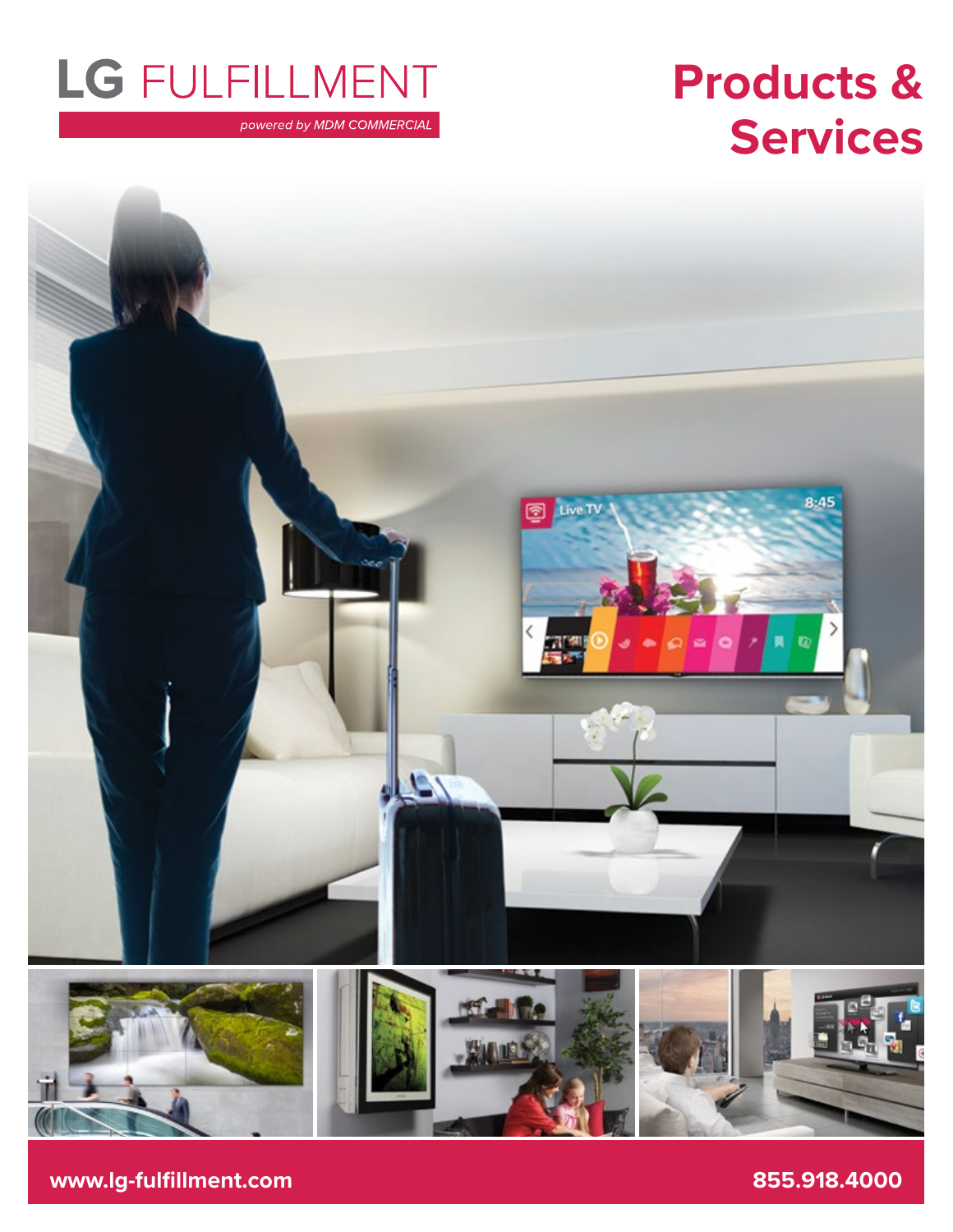## LG FULFILLMENT

powered by MDM COMMERCIAL

## **Products & Services**



**www.lg-fulfillment.com 855.918.4000**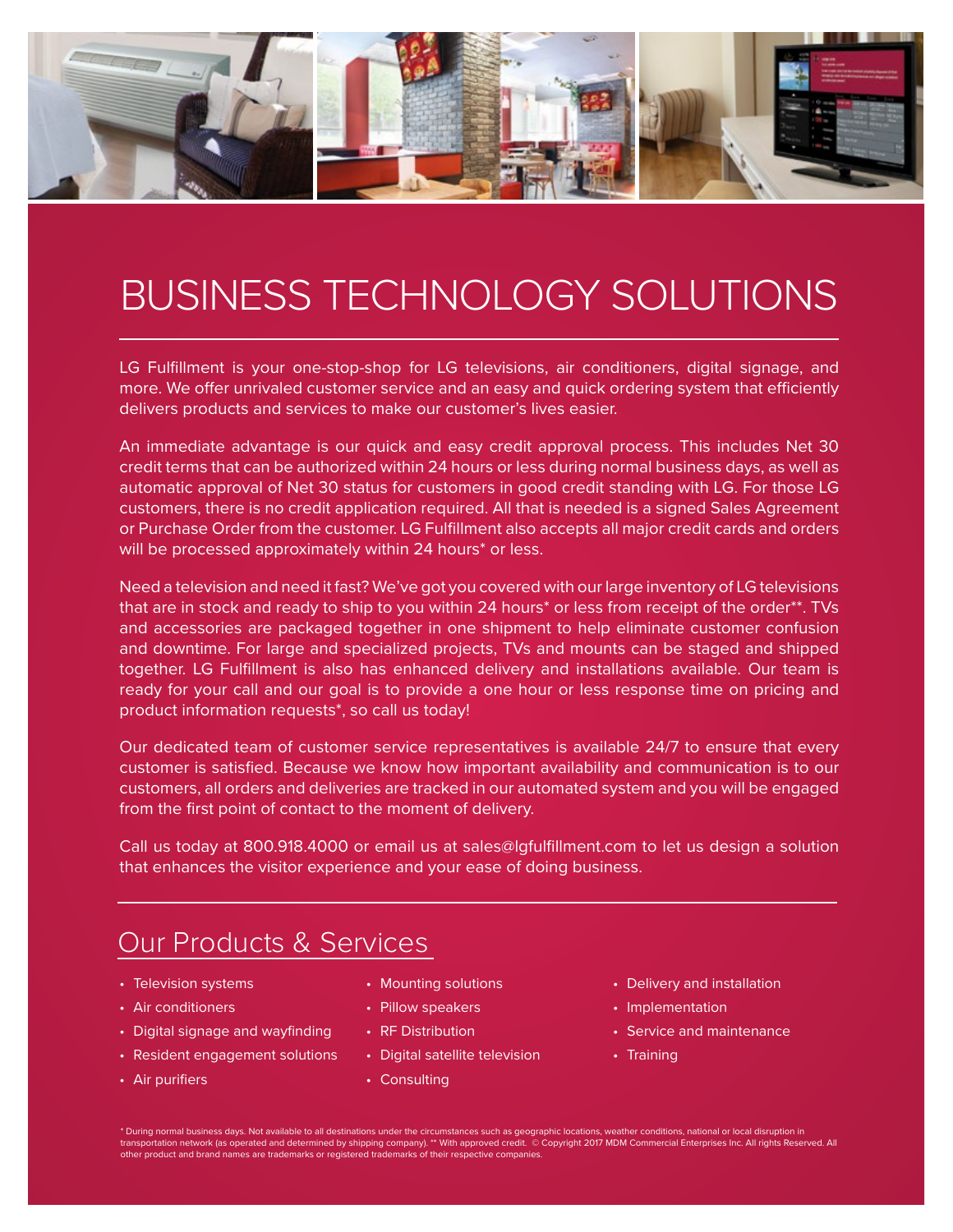

## BUSINESS TECHNOLOGY SOLUTIONS

LG Fulfillment is your one-stop-shop for LG televisions, air conditioners, digital signage, and more. We offer unrivaled customer service and an easy and quick ordering system that efficiently delivers products and services to make our customer's lives easier.

An immediate advantage is our quick and easy credit approval process. This includes Net 30 credit terms that can be authorized within 24 hours or less during normal business days, as well as automatic approval of Net 30 status for customers in good credit standing with LG. For those LG customers, there is no credit application required. All that is needed is a signed Sales Agreement or Purchase Order from the customer. LG Fulfillment also accepts all major credit cards and orders will be processed approximately within 24 hours<sup>\*</sup> or less.

Need a television and need it fast? We've got you covered with our large inventory of LG televisions that are in stock and ready to ship to you within 24 hours\* or less from receipt of the order\*\*. TVs and accessories are packaged together in one shipment to help eliminate customer confusion and downtime. For large and specialized projects, TVs and mounts can be staged and shipped together. LG Fulfillment is also has enhanced delivery and installations available. Our team is ready for your call and our goal is to provide a one hour or less response time on pricing and product information requests\*, so call us today!

Our dedicated team of customer service representatives is available 24/7 to ensure that every customer is satisfied. Because we know how important availability and communication is to our customers, all orders and deliveries are tracked in our automated system and you will be engaged from the first point of contact to the moment of delivery.

Call us today at 800.918.4000 or email us at sales@lgfulfillment.com to let us design a solution that enhances the visitor experience and your ease of doing business.

### Our Products & Services

- Television systems
- Air conditioners
- Digital signage and wayfinding
- Resident engagement solutions
- Air purifiers
- Mounting solutions
- Pillow speakers
- RF Distribution
- Digital satellite television
- Consulting
- Delivery and installation
- Implementation
- Service and maintenance
- Training

\* During normal business days. Not available to all destinations under the circumstances such as geographic locations, weather conditions, national or local disruption in transportation network (as operated and determined by shipping company). \*\* With approved credit. © Copyright 2017 MDM Commercial Enterprises Inc. All rights Reserved. All<br>other product and brand names are trademarks or re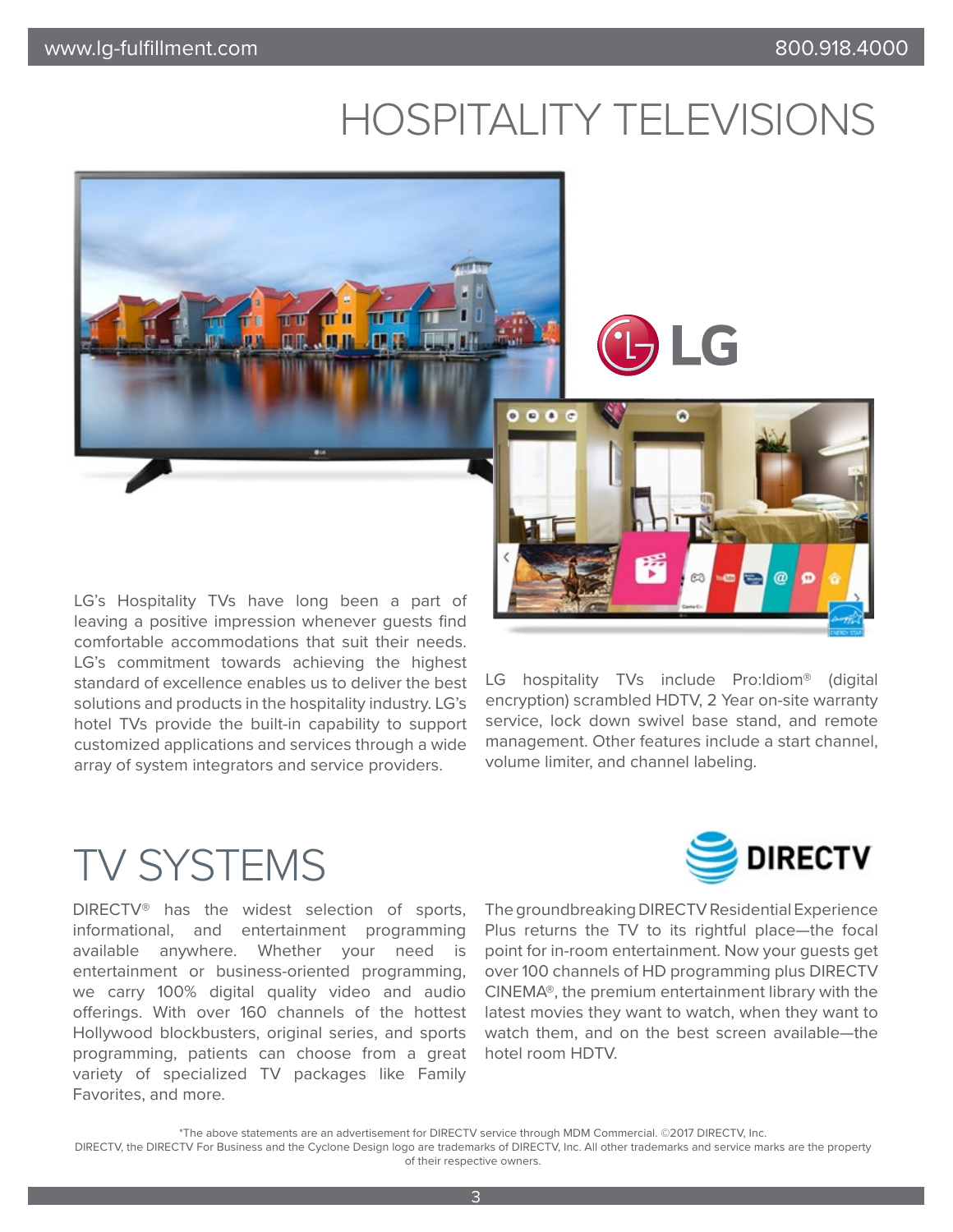## HOSPITALITY TELEVISIONS



LG

LG's Hospitality TVs have long been a part of leaving a positive impression whenever guests find comfortable accommodations that suit their needs. LG's commitment towards achieving the highest standard of excellence enables us to deliver the best solutions and products in the hospitality industry. LG's hotel TVs provide the built-in capability to support customized applications and services through a wide array of system integrators and service providers.



LG hospitality TVs include Pro:Idiom® (digital encryption) scrambled HDTV, 2 Year on-site warranty service, lock down swivel base stand, and remote management. Other features include a start channel, volume limiter, and channel labeling.

### TV SYSTEMS

DIRECTV® has the widest selection of sports, informational, and entertainment programming available anywhere. Whether your need is entertainment or business-oriented programming, we carry 100% digital quality video and audio offerings. With over 160 channels of the hottest Hollywood blockbusters, original series, and sports programming, patients can choose from a great variety of specialized TV packages like Family Favorites, and more.



The groundbreaking DIRECTV Residential Experience Plus returns the TV to its rightful place—the focal point for in-room entertainment. Now your guests get over 100 channels of HD programming plus DIRECTV CINEMA®, the premium entertainment library with the latest movies they want to watch, when they want to watch them, and on the best screen available—the hotel room HDTV.

\*The above statements are an advertisement for DIRECTV service through MDM Commercial. ©2017 DIRECTV, Inc.

DIRECTV, the DIRECTV For Business and the Cyclone Design logo are trademarks of DIRECTV, Inc. All other trademarks and service marks are the property of their respective owners.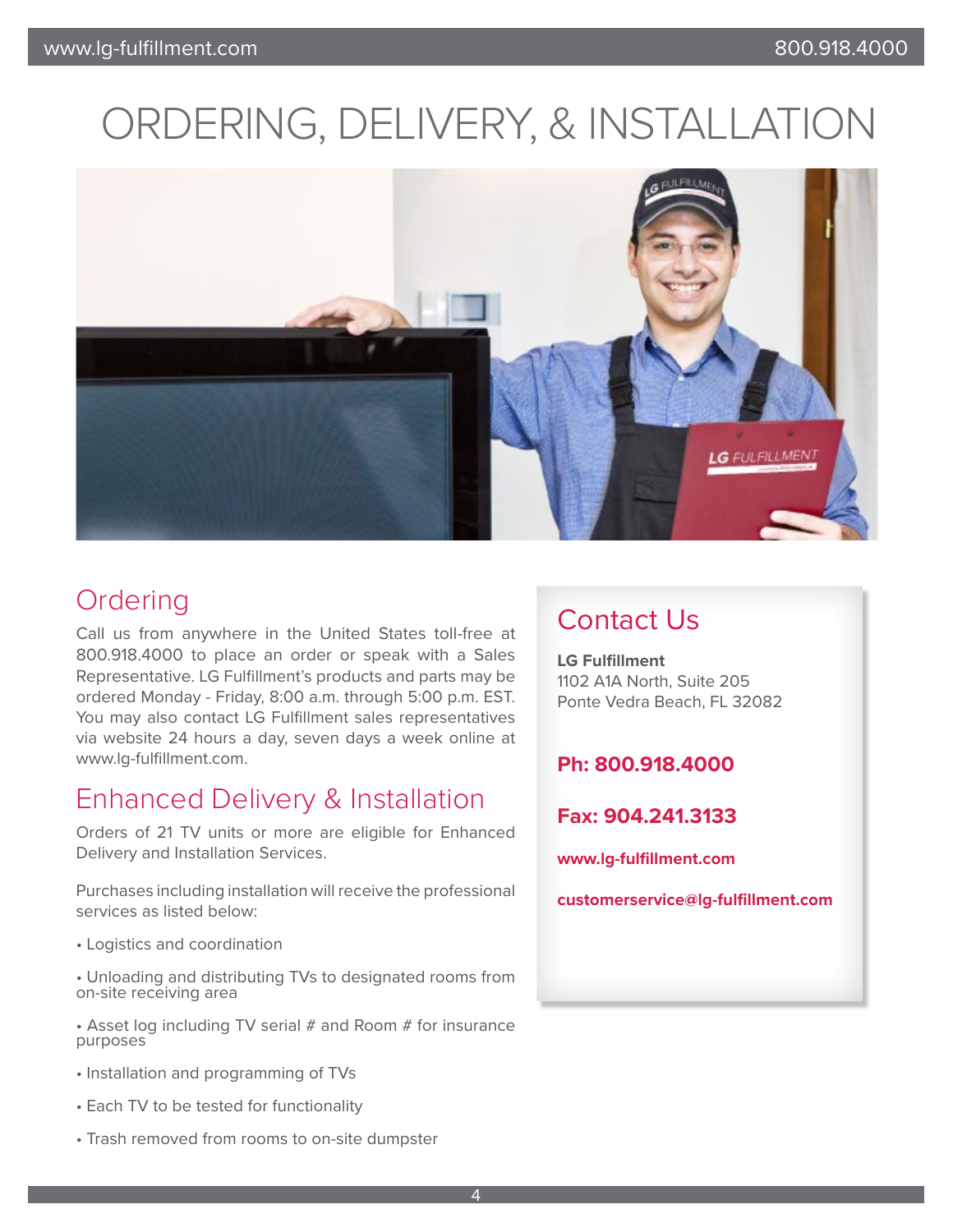## ORDERING, DELIVERY, & INSTALLATION



### Ordering

Call us from anywhere in the United States toll-free at 800.918.4000 to place an order or speak with a Sales Representative. LG Fulfillment's products and parts may be ordered Monday - Friday, 8:00 a.m. through 5:00 p.m. EST. You may also contact LG Fulfillment sales representatives via website 24 hours a day, seven days a week online at www.lg-fulfillment.com.

### Enhanced Delivery & Installation

Orders of 21 TV units or more are eligible for Enhanced Delivery and Installation Services.

Purchases including installation will receive the professional services as listed below:

• Logistics and coordination

• Unloading and distributing TVs to designated rooms from on-site receiving area

• Asset log including TV serial # and Room # for insurance purposes

- Installation and programming of TVs
- Each TV to be tested for functionality
- Trash removed from rooms to on-site dumpster

### Contact Us

**LG Fulfillment**  1102 A1A North, Suite 205 Ponte Vedra Beach, FL 32082

#### **Ph: 800.918.4000**

**Fax: 904.241.3133**

**www.lg-fulfillment.com**

**customerservice@lg-fulfillment.com**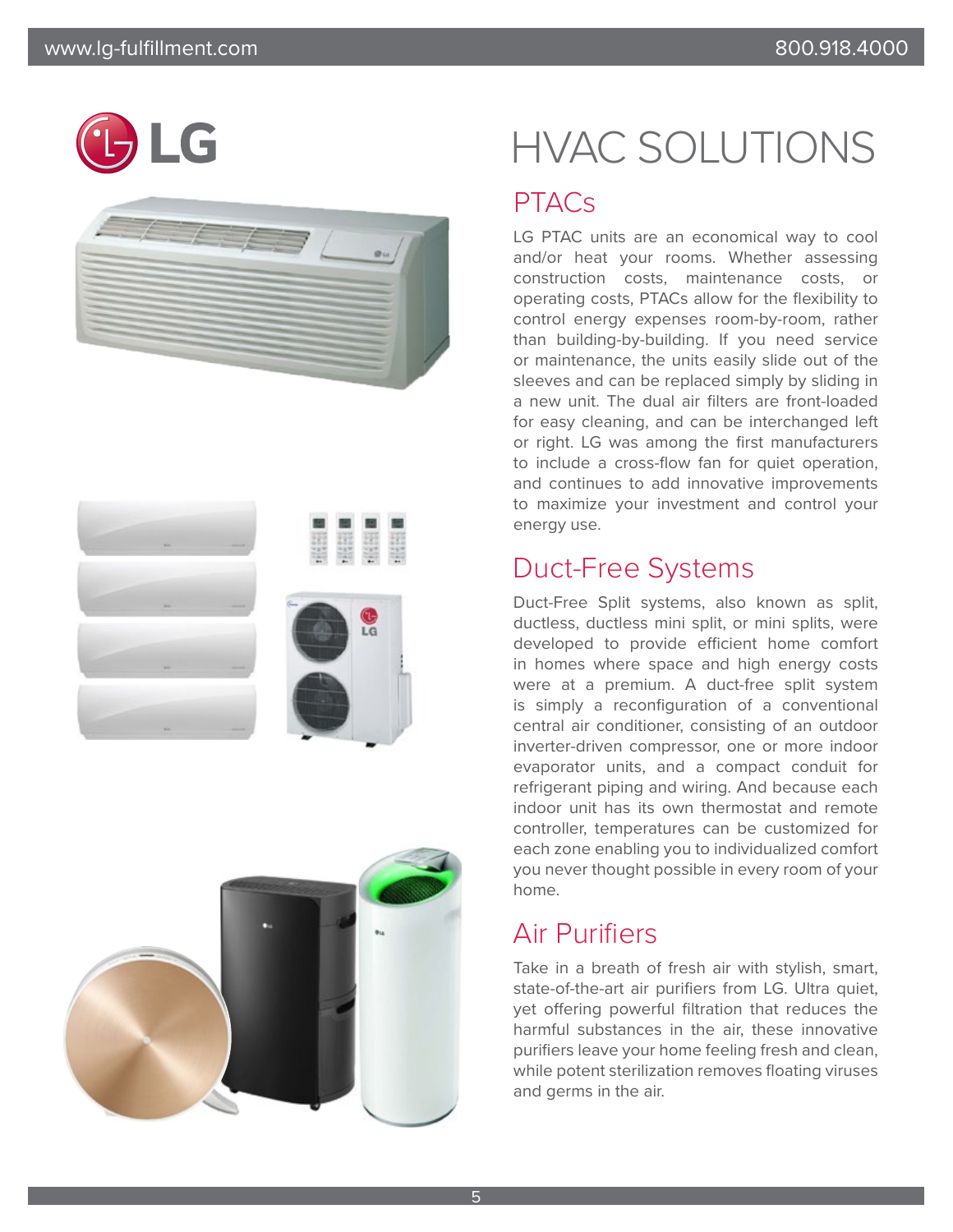# G









## HVAC SOLUTIONS

### **PTACs**

LG PTAC units are an economical way to cool and/or heat your rooms. Whether assessing construction costs, maintenance costs, or operating costs, PTACs allow for the flexibility to control energy expenses room-by-room, rather than building-by-building. If you need service or maintenance, the units easily slide out of the sleeves and can be replaced simply by sliding in a new unit. The dual air filters are front-loaded for easy cleaning, and can be interchanged left or right. LG was among the first manufacturers to include a cross-flow fan for quiet operation, and continues to add innovative improvements to maximize your investment and control your energy use.

### Duct-Free Systems

Duct-Free Split systems, also known as split, ductless, ductless mini split, or mini splits, were developed to provide efficient home comfort in homes where space and high energy costs were at a premium. A duct-free split system is simply a reconfiguration of a conventional central air conditioner, consisting of an outdoor inverter-driven compressor, one or more indoor evaporator units, and a compact conduit for refrigerant piping and wiring. And because each indoor unit has its own thermostat and remote controller, temperatures can be customized for each zone enabling you to individualized comfort you never thought possible in every room of your home.

### Air Purifiers

Take in a breath of fresh air with stylish, smart, state-of-the-art air purifiers from LG. Ultra quiet, yet offering powerful filtration that reduces the harmful substances in the air, these innovative purifiers leave your home feeling fresh and clean, while potent sterilization removes floating viruses and germs in the air.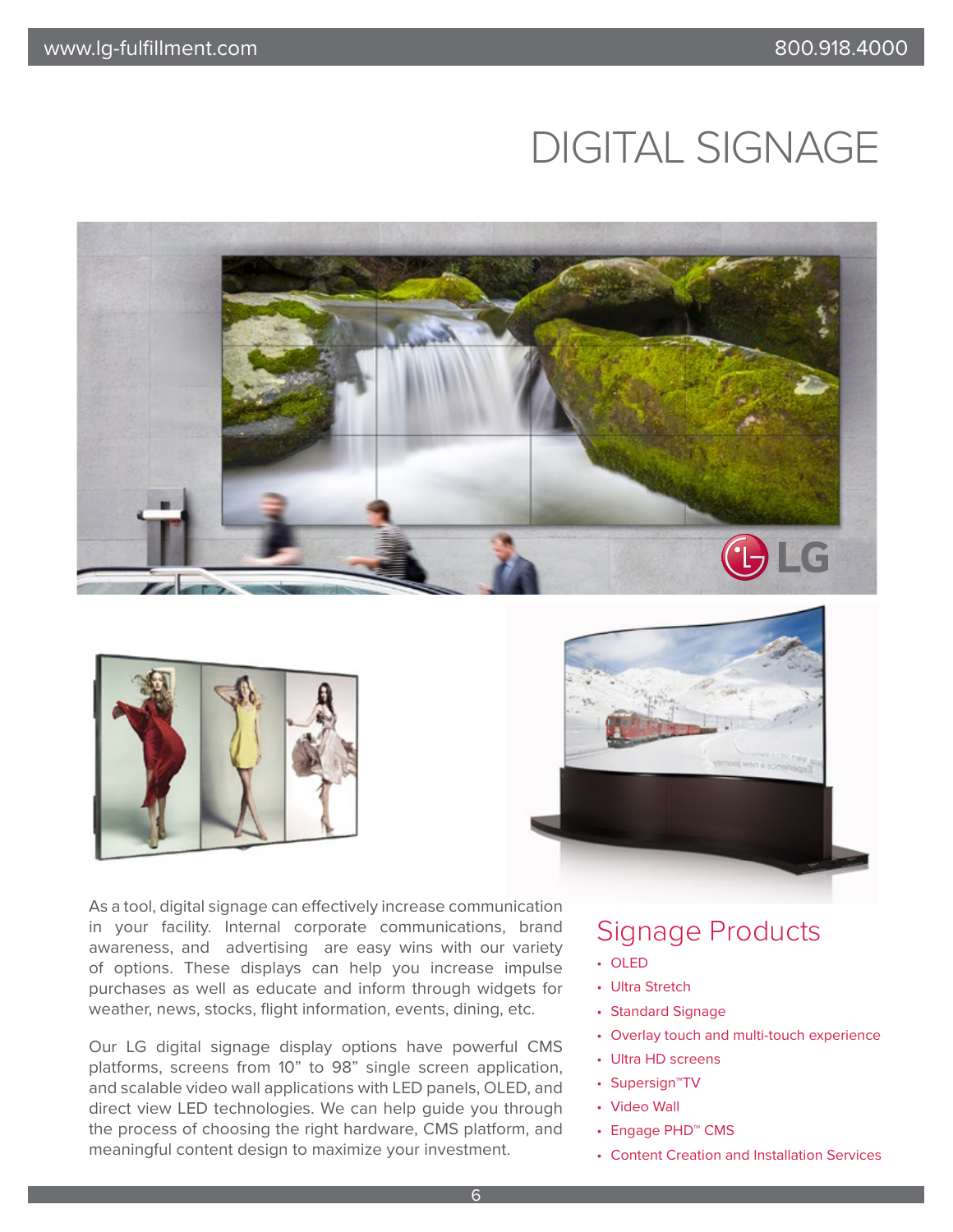### DIGITAL SIGNAGE





As a tool, digital signage can effectively increase communication in your facility. Internal corporate communications, brand awareness, and advertising are easy wins with our variety of options. These displays can help you increase impulse purchases as well as educate and inform through widgets for weather, news, stocks, flight information, events, dining, etc.

Our LG digital signage display options have powerful CMS platforms, screens from 10" to 98" single screen application, and scalable video wall applications with LED panels, OLED, and direct view LED technologies. We can help guide you through the process of choosing the right hardware, CMS platform, and meaningful content design to maximize your investment.



### Signage Products

- OLED
- Ultra Stretch
- Standard Signage
- Overlay touch and multi-touch experience
- Ultra HD screens
- Supersign™TV
- Video Wall
- Engage PHD™ CMS
- Content Creation and Installation Services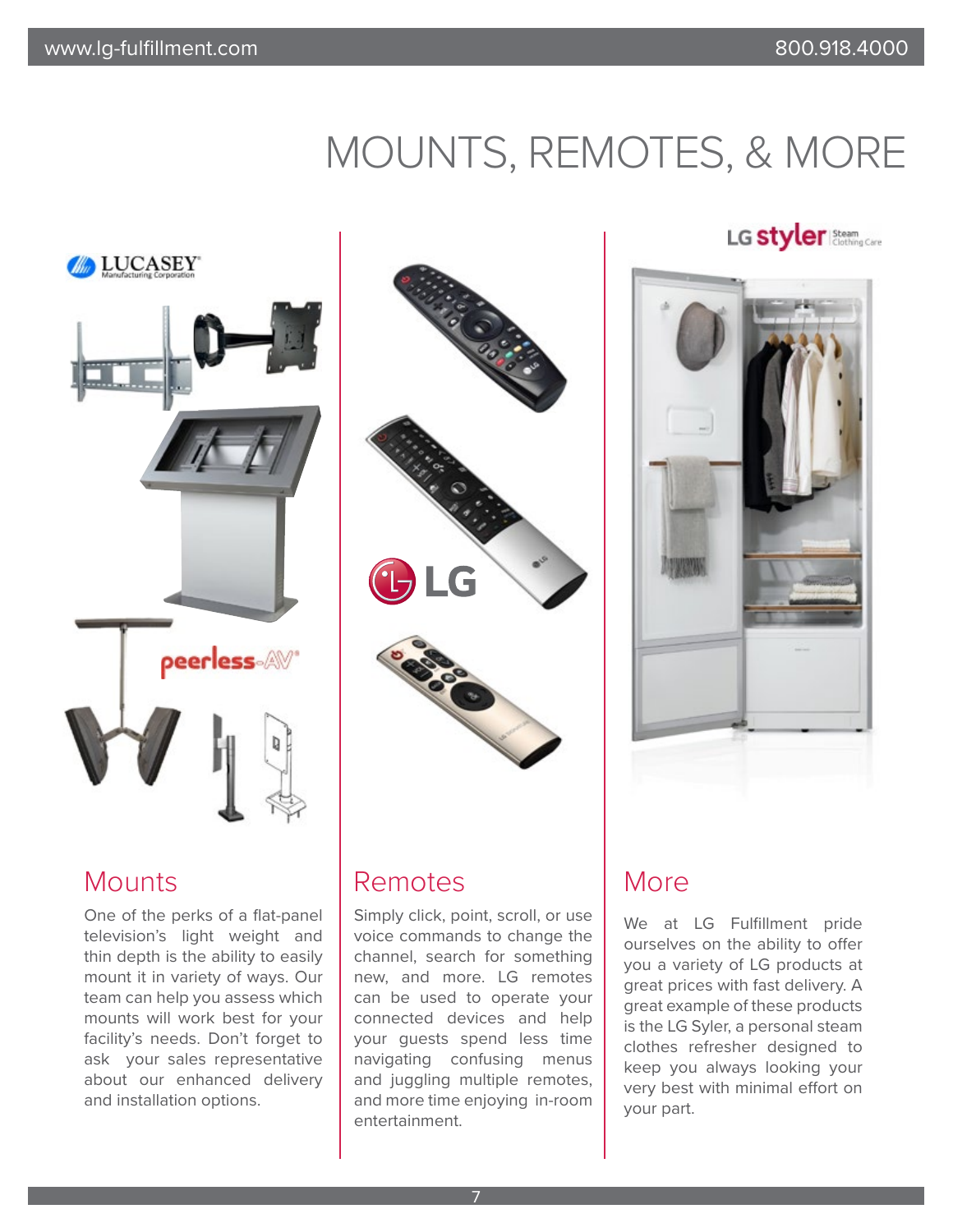## MOUNTS, REMOTES, & MORE



#### **Mounts**

One of the perks of a flat-panel television's light weight and thin depth is the ability to easily mount it in variety of ways. Our team can help you assess which mounts will work best for your facility's needs. Don't forget to ask your sales representative about our enhanced delivery and installation options.



### Remotes

Simply click, point, scroll, or use voice commands to change the channel, search for something new, and more. LG remotes can be used to operate your connected devices and help your guests spend less time navigating confusing menus and juggling multiple remotes, and more time enjoying in-room entertainment.

#### LG Styler Steam



### More

We at LG Fulfillment pride ourselves on the ability to offer you a variety of LG products at great prices with fast delivery. A great example of these products is the LG Syler, a personal steam clothes refresher designed to keep you always looking your very best with minimal effort on your part.